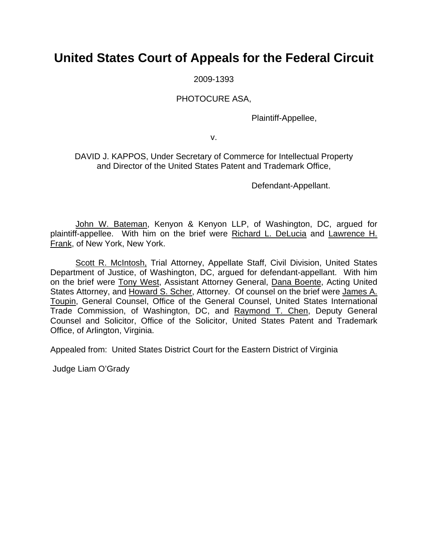## **United States Court of Appeals for the Federal Circuit**

2009-1393

### PHOTOCURE ASA,

Plaintiff-Appellee,

v.

DAVID J. KAPPOS, Under Secretary of Commerce for Intellectual Property and Director of the United States Patent and Trademark Office,

Defendant-Appellant.

John W. Bateman, Kenyon & Kenyon LLP, of Washington, DC, argued for plaintiff-appellee. With him on the brief were Richard L. DeLucia and Lawrence H. Frank, of New York, New York.

Scott R. McIntosh, Trial Attorney, Appellate Staff, Civil Division, United States Department of Justice, of Washington, DC, argued for defendant-appellant. With him on the brief were Tony West, Assistant Attorney General, Dana Boente, Acting United States Attorney, and Howard S. Scher, Attorney. Of counsel on the brief were James A. Toupin, General Counsel, Office of the General Counsel, United States International Trade Commission, of Washington, DC, and Raymond T. Chen, Deputy General Counsel and Solicitor, Office of the Solicitor, United States Patent and Trademark Office, of Arlington, Virginia.

Appealed from: United States District Court for the Eastern District of Virginia

Judge Liam O'Grady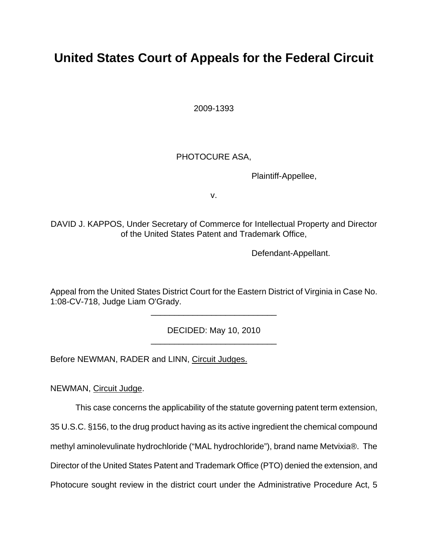# **United States Court of Appeals for the Federal Circuit**

2009-1393

## PHOTOCURE ASA,

Plaintiff-Appellee,

v.

DAVID J. KAPPOS, Under Secretary of Commerce for Intellectual Property and Director of the United States Patent and Trademark Office,

Defendant-Appellant.

Appeal from the United States District Court for the Eastern District of Virginia in Case No. 1:08-CV-718, Judge Liam O'Grady.

\_\_\_\_\_\_\_\_\_\_\_\_\_\_\_\_\_\_\_\_\_\_\_\_\_\_\_

DECIDED: May 10, 2010 \_\_\_\_\_\_\_\_\_\_\_\_\_\_\_\_\_\_\_\_\_\_\_\_\_\_\_

Before NEWMAN, RADER and LINN, Circuit Judges.

NEWMAN, Circuit Judge.

This case concerns the applicability of the statute governing patent term extension,

35 U.S.C. §156, to the drug product having as its active ingredient the chemical compound

methyl aminolevulinate hydrochloride ("MAL hydrochloride"), brand name Metvixia®. The

Director of the United States Patent and Trademark Office (PTO) denied the extension, and

Photocure sought review in the district court under the Administrative Procedure Act, 5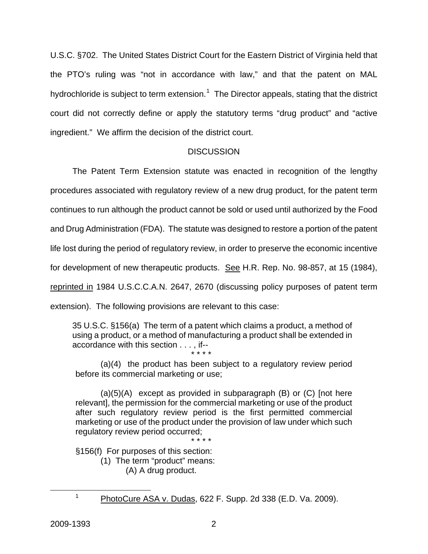U.S.C. §702. The United States District Court for the Eastern District of Virginia held that the PTO's ruling was "not in accordance with law," and that the patent on MAL hydrochloride is subject to term extension.<sup>[1](#page-2-0)</sup> The Director appeals, stating that the district court did not correctly define or apply the statutory terms "drug product" and "active ingredient." We affirm the decision of the district court.

#### **DISCUSSION**

The Patent Term Extension statute was enacted in recognition of the lengthy procedures associated with regulatory review of a new drug product, for the patent term continues to run although the product cannot be sold or used until authorized by the Food and Drug Administration (FDA). The statute was designed to restore a portion of the patent life lost during the period of regulatory review, in order to preserve the economic incentive for development of new therapeutic products. See H.R. Rep. No. 98-857, at 15 (1984), reprinted in 1984 U.S.C.C.A.N. 2647, 2670 (discussing policy purposes of patent term extension). The following provisions are relevant to this case:

35 U.S.C. §156(a) The term of a patent which claims a product, a method of using a product, or a method of manufacturing a product shall be extended in accordance with this section . . . , if-- \* \* \* \*

(a)(4) the product has been subject to a regulatory review period before its commercial marketing or use;

 $(a)(5)(A)$  except as provided in subparagraph  $(B)$  or  $(C)$  [not here relevant], the permission for the commercial marketing or use of the product after such regulatory review period is the first permitted commercial marketing or use of the product under the provision of law under which such regulatory review period occurred;

\* \* \* \*

§156(f) For purposes of this section:

(1) The term "product" means: (A) A drug product.

<span id="page-2-0"></span> $\frac{1}{1}$ 

<sup>&</sup>lt;sup>1</sup> PhotoCure ASA v. Dudas, 622 F. Supp. 2d 338 (E.D. Va. 2009).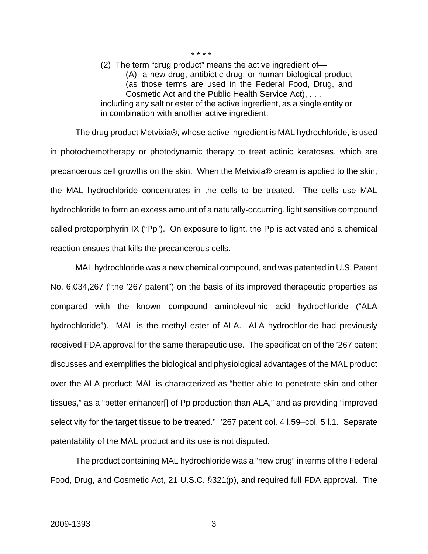(2) The term "drug product" means the active ingredient of— (A) a new drug, antibiotic drug, or human biological product (as those terms are used in the Federal Food, Drug, and Cosmetic Act and the Public Health Service Act), . . . including any salt or ester of the active ingredient, as a single entity or in combination with another active ingredient.

\* \* \* \*

The drug product Metvixia®, whose active ingredient is MAL hydrochloride, is used in photochemotherapy or photodynamic therapy to treat actinic keratoses, which are precancerous cell growths on the skin. When the Metvixia® cream is applied to the skin, the MAL hydrochloride concentrates in the cells to be treated. The cells use MAL hydrochloride to form an excess amount of a naturally-occurring, light sensitive compound called protoporphyrin IX ("Pp"). On exposure to light, the Pp is activated and a chemical reaction ensues that kills the precancerous cells.

MAL hydrochloride was a new chemical compound, and was patented in U.S. Patent No. 6,034,267 ("the '267 patent") on the basis of its improved therapeutic properties as compared with the known compound aminolevulinic acid hydrochloride ("ALA hydrochloride"). MAL is the methyl ester of ALA. ALA hydrochloride had previously received FDA approval for the same therapeutic use. The specification of the '267 patent discusses and exemplifies the biological and physiological advantages of the MAL product over the ALA product; MAL is characterized as "better able to penetrate skin and other tissues," as a "better enhancer[] of Pp production than ALA," and as providing "improved selectivity for the target tissue to be treated." '267 patent col. 4 l.59–col. 5 l.1. Separate patentability of the MAL product and its use is not disputed.

The product containing MAL hydrochloride was a "new drug" in terms of the Federal Food, Drug, and Cosmetic Act, 21 U.S.C. §321(p), and required full FDA approval. The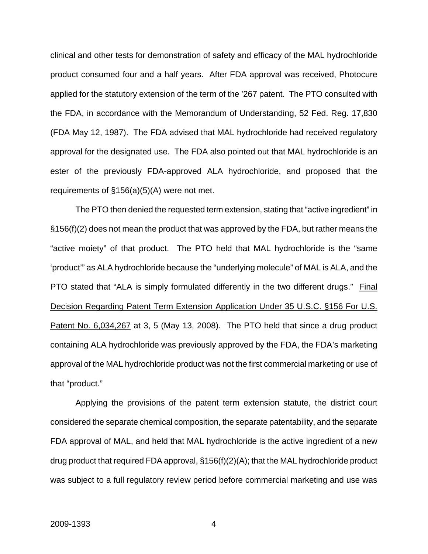clinical and other tests for demonstration of safety and efficacy of the MAL hydrochloride product consumed four and a half years. After FDA approval was received, Photocure applied for the statutory extension of the term of the '267 patent. The PTO consulted with the FDA, in accordance with the Memorandum of Understanding, 52 Fed. Reg. 17,830 (FDA May 12, 1987). The FDA advised that MAL hydrochloride had received regulatory approval for the designated use. The FDA also pointed out that MAL hydrochloride is an ester of the previously FDA-approved ALA hydrochloride, and proposed that the requirements of §156(a)(5)(A) were not met.

The PTO then denied the requested term extension, stating that "active ingredient" in §156(f)(2) does not mean the product that was approved by the FDA, but rather means the "active moiety" of that product. The PTO held that MAL hydrochloride is the "same 'product'" as ALA hydrochloride because the "underlying molecule" of MAL is ALA, and the PTO stated that "ALA is simply formulated differently in the two different drugs." Final Decision Regarding Patent Term Extension Application Under 35 U.S.C. §156 For U.S. Patent No. 6,034,267 at 3, 5 (May 13, 2008). The PTO held that since a drug product containing ALA hydrochloride was previously approved by the FDA, the FDA's marketing approval of the MAL hydrochloride product was not the first commercial marketing or use of that "product."

Applying the provisions of the patent term extension statute, the district court considered the separate chemical composition, the separate patentability, and the separate FDA approval of MAL, and held that MAL hydrochloride is the active ingredient of a new drug product that required FDA approval, §156(f)(2)(A); that the MAL hydrochloride product was subject to a full regulatory review period before commercial marketing and use was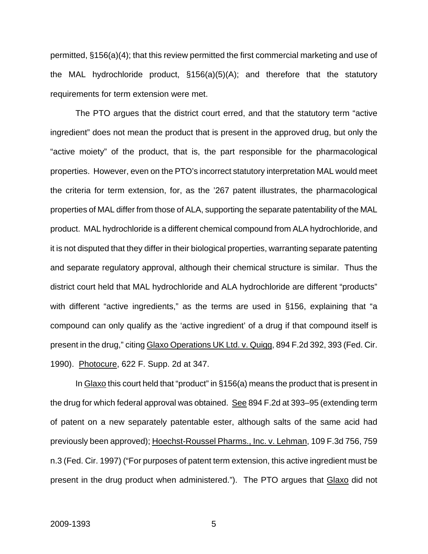permitted, §156(a)(4); that this review permitted the first commercial marketing and use of the MAL hydrochloride product, §156(a)(5)(A); and therefore that the statutory requirements for term extension were met.

The PTO argues that the district court erred, and that the statutory term "active ingredient" does not mean the product that is present in the approved drug, but only the "active moiety" of the product, that is, the part responsible for the pharmacological properties. However, even on the PTO's incorrect statutory interpretation MAL would meet the criteria for term extension, for, as the '267 patent illustrates, the pharmacological properties of MAL differ from those of ALA, supporting the separate patentability of the MAL product. MAL hydrochloride is a different chemical compound from ALA hydrochloride, and it is not disputed that they differ in their biological properties, warranting separate patenting and separate regulatory approval, although their chemical structure is similar. Thus the district court held that MAL hydrochloride and ALA hydrochloride are different "products" with different "active ingredients," as the terms are used in §156, explaining that "a compound can only qualify as the 'active ingredient' of a drug if that compound itself is present in the drug," citing Glaxo Operations UK Ltd. v. Quigg, 894 F.2d 392, 393 (Fed. Cir. 1990). Photocure, 622 F. Supp. 2d at 347.

In Glaxo this court held that "product" in §156(a) means the product that is present in the drug for which federal approval was obtained. See 894 F.2d at 393–95 (extending term of patent on a new separately patentable ester, although salts of the same acid had previously been approved); Hoechst-Roussel Pharms., Inc. v. Lehman, 109 F.3d 756, 759 n.3 (Fed. Cir. 1997) ("For purposes of patent term extension, this active ingredient must be present in the drug product when administered."). The PTO argues that Glaxo did not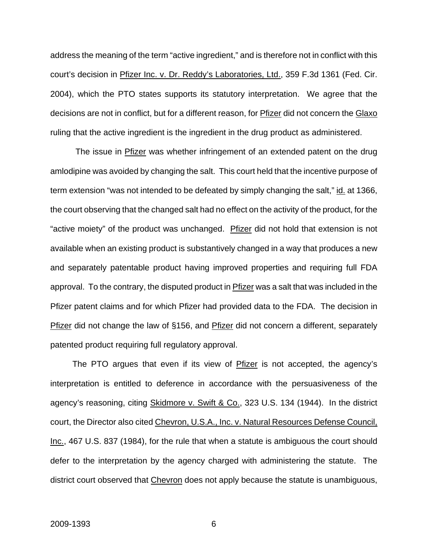address the meaning of the term "active ingredient," and is therefore not in conflict with this court's decision in Pfizer Inc. v. Dr. Reddy's Laboratories, Ltd., 359 F.3d 1361 (Fed. Cir. 2004), which the PTO states supports its statutory interpretation. We agree that the decisions are not in conflict, but for a different reason, for Pfizer did not concern the Glaxo ruling that the active ingredient is the ingredient in the drug product as administered.

The issue in **Pfizer** was whether infringement of an extended patent on the drug amlodipine was avoided by changing the salt. This court held that the incentive purpose of term extension "was not intended to be defeated by simply changing the salt," id. at 1366, the court observing that the changed salt had no effect on the activity of the product, for the "active moiety" of the product was unchanged. Prizer did not hold that extension is not available when an existing product is substantively changed in a way that produces a new and separately patentable product having improved properties and requiring full FDA approval. To the contrary, the disputed product in Pfizer was a salt that was included in the Pfizer patent claims and for which Pfizer had provided data to the FDA. The decision in Pfizer did not change the law of §156, and Pfizer did not concern a different, separately patented product requiring full regulatory approval.

The PTO argues that even if its view of Pfizer is not accepted, the agency's interpretation is entitled to deference in accordance with the persuasiveness of the agency's reasoning, citing Skidmore v. Swift & Co., 323 U.S. 134 (1944). In the district court, the Director also cited Chevron, U.S.A., Inc. v. Natural Resources Defense Council, Inc., 467 U.S. 837 (1984), for the rule that when a statute is ambiguous the court should defer to the interpretation by the agency charged with administering the statute. The district court observed that Chevron does not apply because the statute is unambiguous,